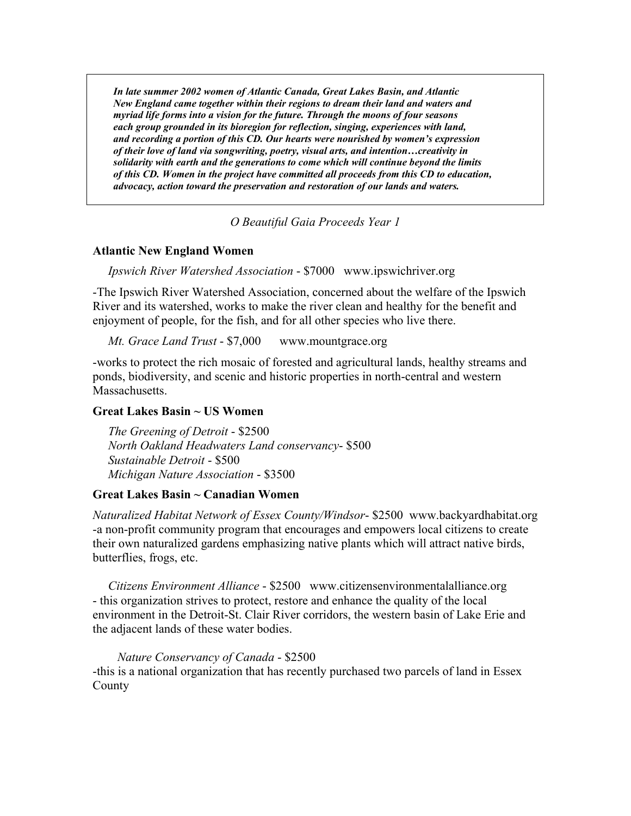*In late summer 2002 women of Atlantic Canada, Great Lakes Basin, and Atlantic New England came together within their regions to dream their land and waters and myriad life forms into a vision for the future. Through the moons of four seasons each group grounded in its bioregion for reflection, singing, experiences with land, and recording a portion of this CD. Our hearts were nourished by women's expression of their love of land via songwriting, poetry, visual arts, and intention…creativity in solidarity with earth and the generations to come which will continue beyond the limits of this CD. Women in the project have committed all proceeds from this CD to education, advocacy, action toward the preservation and restoration of our lands and waters.* 

*O Beautiful Gaia Proceeds Year 1* 

## **Atlantic New England Women**

*Ipswich River Watershed Association* - \$7000 www.ipswichriver.org

-The Ipswich River Watershed Association, concerned about the welfare of the Ipswich River and its watershed, works to make the river clean and healthy for the benefit and enjoyment of people, for the fish, and for all other species who live there.

## *Mt. Grace Land Trust* - \$7,000 www.mountgrace.org

-works to protect the rich mosaic of forested and agricultural lands, healthy streams and ponds, biodiversity, and scenic and historic properties in north-central and western Massachusetts.

## **Great Lakes Basin ~ US Women**

 *The Greening of Detroit* - \$2500  *North Oakland Headwaters Land conservancy*- \$500  *Sustainable Detroit* - \$500  *Michigan Nature Association* - \$3500

# **Great Lakes Basin ~ Canadian Women**

*Naturalized Habitat Network of Essex County/Windsor*- \$2500 www.backyardhabitat.org -a non-profit community program that encourages and empowers local citizens to create their own naturalized gardens emphasizing native plants which will attract native birds, butterflies, frogs, etc.

 *Citizens Environment Alliance* - \$2500 www.citizensenvironmentalalliance.org - this organization strives to protect, restore and enhance the quality of the local environment in the Detroit-St. Clair River corridors, the western basin of Lake Erie and the adjacent lands of these water bodies.

#### *Nature Conservancy of Canada* - \$2500

-this is a national organization that has recently purchased two parcels of land in Essex County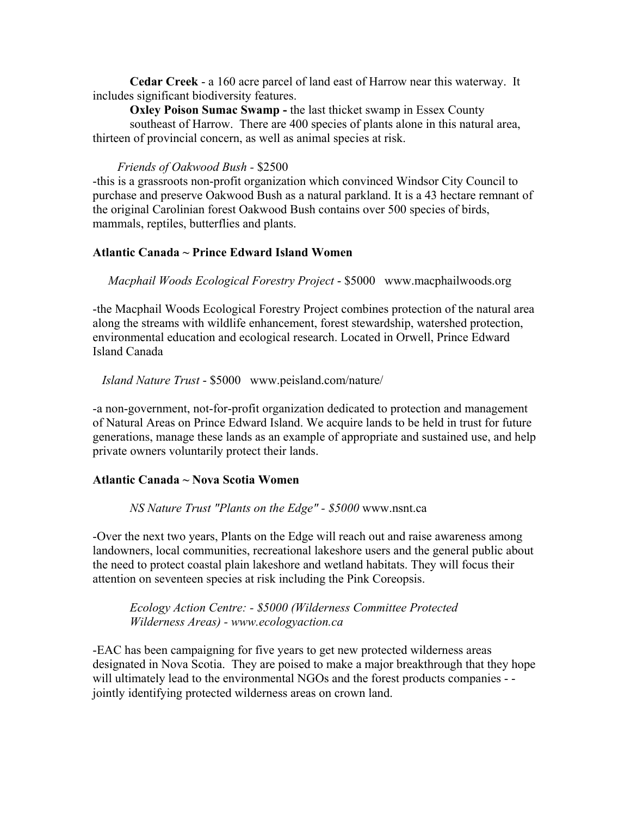**Cedar Creek** - a 160 acre parcel of land east of Harrow near this waterway. It includes significant biodiversity features.

**Oxley Poison Sumac Swamp - the last thicket swamp in Essex County**  southeast of Harrow. There are 400 species of plants alone in this natural area, thirteen of provincial concern, as well as animal species at risk.

#### *Friends of Oakwood Bush -* \$2500

-this is a grassroots non-profit organization which convinced Windsor City Council to purchase and preserve Oakwood Bush as a natural parkland. It is a 43 hectare remnant of the original Carolinian forest Oakwood Bush contains over 500 species of birds, mammals, reptiles, butterflies and plants.

## **Atlantic Canada ~ Prince Edward Island Women**

 *Macphail Woods Ecological Forestry Project* - \$5000 www.macphailwoods.org

-the Macphail Woods Ecological Forestry Project combines protection of the natural area along the streams with wildlife enhancement, forest stewardship, watershed protection, environmental education and ecological research. Located in Orwell, Prince Edward Island Canada

 *Island Nature Trust* - \$5000 www.peisland.com/nature/

-a non-government, not-for-profit organization dedicated to protection and management of Natural Areas on Prince Edward Island. We acquire lands to be held in trust for future generations, manage these lands as an example of appropriate and sustained use, and help private owners voluntarily protect their lands.

#### **Atlantic Canada ~ Nova Scotia Women**

*NS Nature Trust "Plants on the Edge" - \$5000* www.nsnt.ca

-Over the next two years, Plants on the Edge will reach out and raise awareness among landowners, local communities, recreational lakeshore users and the general public about the need to protect coastal plain lakeshore and wetland habitats. They will focus their attention on seventeen species at risk including the Pink Coreopsis.

*Ecology Action Centre: - \$5000 (Wilderness Committee Protected Wilderness Areas) - www.ecologyaction.ca*

-EAC has been campaigning for five years to get new protected wilderness areas designated in Nova Scotia. They are poised to make a major breakthrough that they hope will ultimately lead to the environmental NGOs and the forest products companies - jointly identifying protected wilderness areas on crown land.